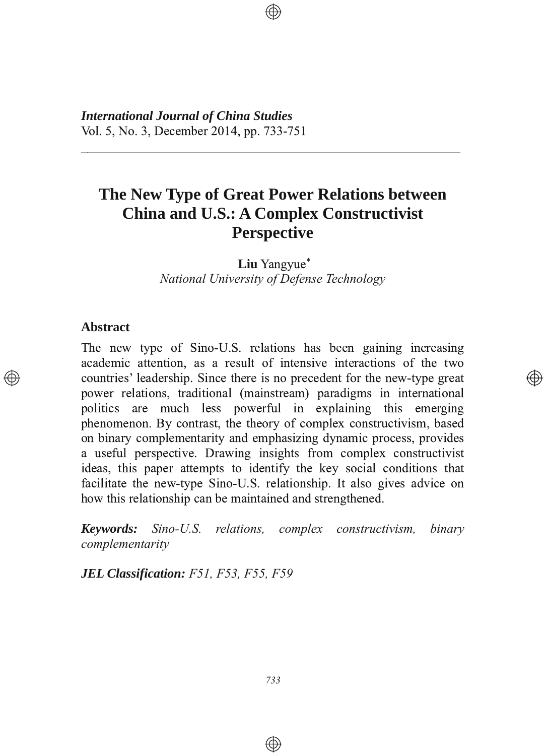*International Journal of China Studies* Vol. 5, No. 3, December 2014, pp. 733-751

# **The New Type of Great Power Relations between China and U.S.: A Complex Constructivist Perspective**

2222222222222222222222222222222222222222222222222222222222

**Liu** Yangyue\* *National University of Defense Technology*

### **Abstract**

The new type of Sino-U.S. relations has been gaining increasing academic attention, as a result of intensive interactions of the two countries' leadership. Since there is no precedent for the new-type great power relations, traditional (mainstream) paradigms in international politics are much less powerful in explaining this emerging phenomenon. By contrast, the theory of complex constructivism, based on binary complementarity and emphasizing dynamic process, provides a useful perspective. Drawing insights from complex constructivist ideas, this paper attempts to identify the key social conditions that facilitate the new-type Sino-U.S. relationship. It also gives advice on how this relationship can be maintained and strengthened.

</u>

*Keywords: Sino-U.S. relations, complex constructivism, binary complementarity*

*JEL Classification: F51, F53, F55, F59*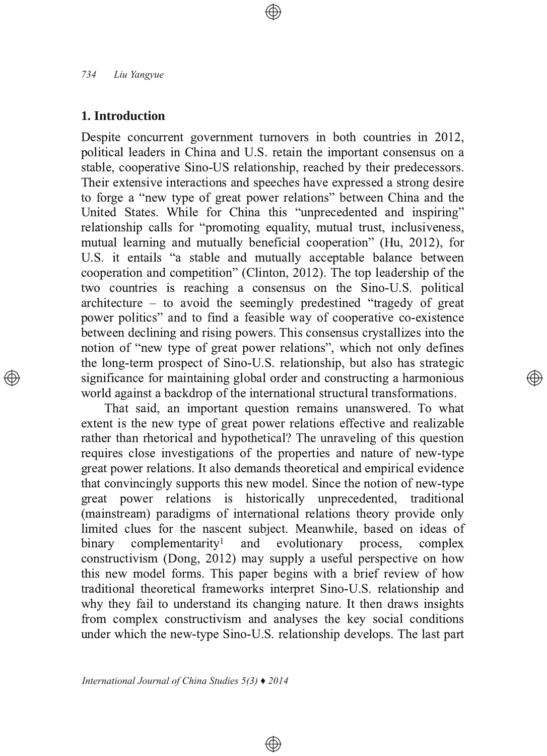## **1. Introduction**

Despite concurrent government turnovers in both countries in 2012, political leaders in China and U.S. retain the important consensus on a stable, cooperative Sino-US relationship, reached by their predecessors. Their extensive interactions and speeches have expressed a strong desire to forge a "new type of great power relations" between China and the United States. While for China this "unprecedented and inspiring" relationship calls for "promoting equality, mutual trust, inclusiveness, mutual learning and mutually beneficial cooperation" (Hu, 2012), for U.S. it entails "a stable and mutually acceptable balance between cooperation and competition" (Clinton, 2012). The top leadership of the two countries is reaching a consensus on the Sino-U.S. political architecture – to avoid the seemingly predestined "tragedy of great power politics" and to find a feasible way of cooperative co-existence between declining and rising powers. This consensus crystallizes into the notion of "new type of great power relations", which not only defines the long-term prospect of Sino-U.S. relationship, but also has strategic significance for maintaining global order and constructing a harmonious world against a backdrop of the international structural transformations.

That said, an important question remains unanswered. To what extent is the new type of great power relations effective and realizable rather than rhetorical and hypothetical? The unraveling of this question requires close investigations of the properties and nature of new-type great power relations. It also demands theoretical and empirical evidence that convincingly supports this new model. Since the notion of new-type great power relations is historically unprecedented, traditional (mainstream) paradigms of international relations theory provide only limited clues for the nascent subject. Meanwhile, based on ideas of binary complementarity<sup>1</sup> and evolutionary process, complex constructivism (Dong, 2012) may supply a useful perspective on how this new model forms. This paper begins with a brief review of how traditional theoretical frameworks interpret Sino-U.S. relationship and why they fail to understand its changing nature. It then draws insights from complex constructivism and analyses the key social conditions under which the new-type Sino-U.S. relationship develops. The last part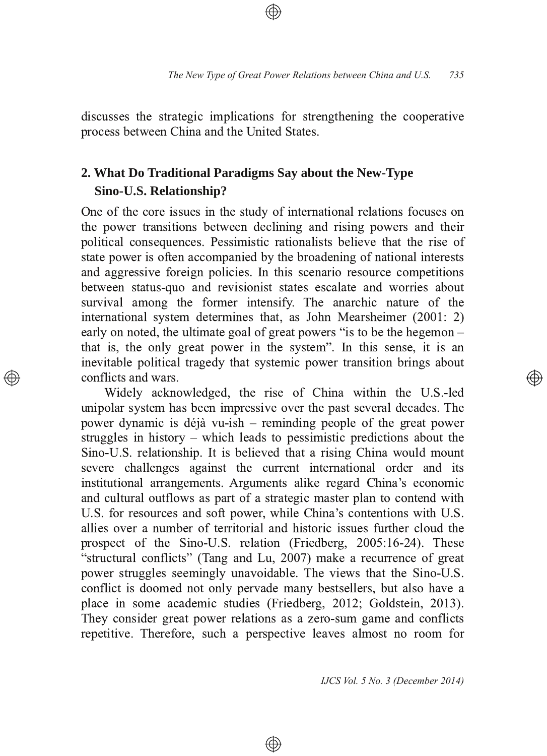discusses the strategic implications for strengthening the cooperative process between China and the United States.

## **2. What Do Traditional Paradigms Say about the NewType Sino-U.S. Relationship?**

One of the core issues in the study of international relations focuses on the power transitions between declining and rising powers and their political consequences. Pessimistic rationalists believe that the rise of state power is often accompanied by the broadening of national interests and aggressive foreign policies. In this scenario resource competitions between status-quo and revisionist states escalate and worries about survival among the former intensify. The anarchic nature of the international system determines that, as John Mearsheimer (2001: 2) early on noted, the ultimate goal of great powers "is to be the hegemon that is, the only great power in the system". In this sense, it is an inevitable political tragedy that systemic power transition brings about conflicts and wars.

Widely acknowledged, the rise of China within the U.S.-led unipolar system has been impressive over the past several decades. The power dynamic is déjà vu-ish – reminding people of the great power struggles in history – which leads to pessimistic predictions about the Sino-U.S. relationship. It is believed that a rising China would mount severe challenges against the current international order and its institutional arrangements. Arguments alike regard China's economic and cultural outflows as part of a strategic master plan to contend with U.S. for resources and soft power, while China's contentions with U.S. allies over a number of territorial and historic issues further cloud the prospect of the Sino-U.S. relation (Friedberg, 2005:16-24). These "structural conflicts" (Tang and Lu, 2007) make a recurrence of great power struggles seemingly unavoidable. The views that the Sino-U.S. conflict is doomed not only pervade many bestsellers, but also have a place in some academic studies (Friedberg, 2012; Goldstein, 2013). They consider great power relations as a zero-sum game and conflicts repetitive. Therefore, such a perspective leaves almost no room for

 $\bigoplus$ 

*IJCS Vol. 5 No. 3 (December 2014)*

</u>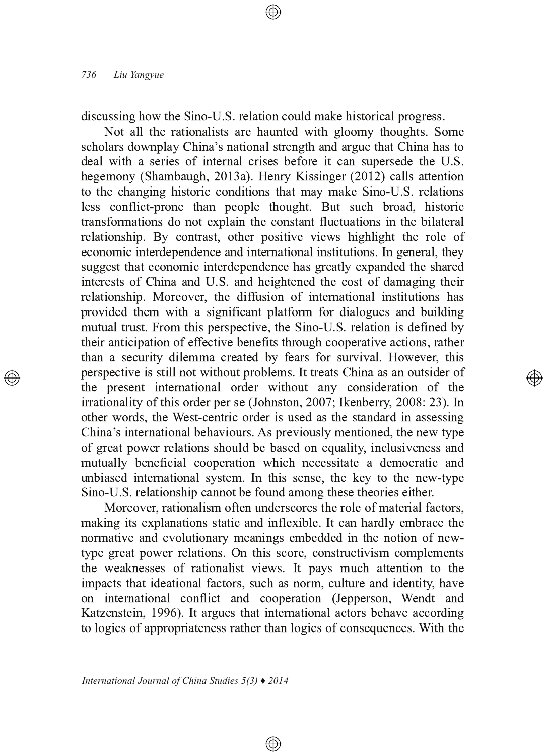discussing how the Sino-U.S. relation could make historical progress.

Not all the rationalists are haunted with gloomy thoughts. Some scholars downplay China's national strength and argue that China has to deal with a series of internal crises before it can supersede the U.S. hegemony (Shambaugh, 2013a). Henry Kissinger (2012) calls attention to the changing historic conditions that may make Sino-U.S. relations less conflict-prone than people thought. But such broad, historic transformations do not explain the constant fluctuations in the bilateral relationship. By contrast, other positive views highlight the role of economic interdependence and international institutions. In general, they suggest that economic interdependence has greatly expanded the shared interests of China and U.S. and heightened the cost of damaging their relationship. Moreover, the diffusion of international institutions has provided them with a significant platform for dialogues and building mutual trust. From this perspective, the Sino-U.S. relation is defined by their anticipation of effective benefits through cooperative actions, rather than a security dilemma created by fears for survival. However, this perspective is still not without problems. It treats China as an outsider of the present international order without any consideration of the irrationality of this order per se (Johnston, 2007; Ikenberry, 2008: 23). In other words, the West-centric order is used as the standard in assessing China's international behaviours. As previously mentioned, the new type of great power relations should be based on equality, inclusiveness and mutually beneficial cooperation which necessitate a democratic and unbiased international system. In this sense, the key to the new-type Sino-U.S. relationship cannot be found among these theories either.

্⊕

Moreover, rationalism often underscores the role of material factors, making its explanations static and inflexible. It can hardly embrace the normative and evolutionary meanings embedded in the notion of newtype great power relations. On this score, constructivism complements the weaknesses of rationalist views. It pays much attention to the impacts that ideational factors, such as norm, culture and identity, have on international conflict and cooperation (Jepperson, Wendt and Katzenstein, 1996). It argues that international actors behave according to logics of appropriateness rather than logics of consequences. With the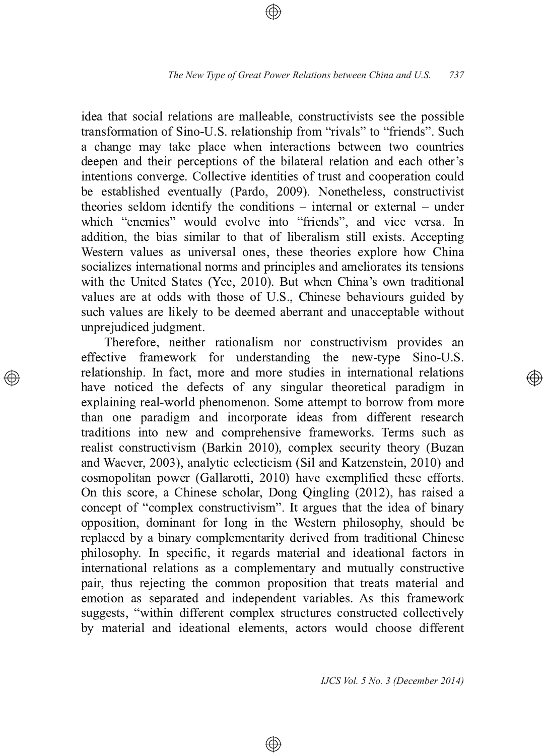idea that social relations are malleable, constructivists see the possible transformation of Sino-U.S. relationship from "rivals" to "friends". Such a change may take place when interactions between two countries deepen and their perceptions of the bilateral relation and each other's intentions converge. Collective identities of trust and cooperation could be established eventually (Pardo, 2009). Nonetheless, constructivist theories seldom identify the conditions – internal or external – under which "enemies" would evolve into "friends", and vice versa. In addition, the bias similar to that of liberalism still exists. Accepting Western values as universal ones, these theories explore how China socializes international norms and principles and ameliorates its tensions with the United States (Yee, 2010). But when China's own traditional values are at odds with those of U.S., Chinese behaviours guided by such values are likely to be deemed aberrant and unacceptable without unprejudiced judgment.

Therefore, neither rationalism nor constructivism provides an effective framework for understanding the new-type Sino-U.S. relationship. In fact, more and more studies in international relations have noticed the defects of any singular theoretical paradigm in explaining real-world phenomenon. Some attempt to borrow from more than one paradigm and incorporate ideas from different research traditions into new and comprehensive frameworks. Terms such as realist constructivism (Barkin 2010), complex security theory (Buzan and Waever, 2003), analytic eclecticism (Sil and Katzenstein, 2010) and cosmopolitan power (Gallarotti, 2010) have exemplified these efforts. On this score, a Chinese scholar, Dong Qingling (2012), has raised a concept of "complex constructivism". It argues that the idea of binary opposition, dominant for long in the Western philosophy, should be replaced by a binary complementarity derived from traditional Chinese philosophy. In specific, it regards material and ideational factors in international relations as a complementary and mutually constructive pair, thus rejecting the common proposition that treats material and emotion as separated and independent variables. As this framework suggests, "within different complex structures constructed collectively by material and ideational elements, actors would choose different

 $\bigoplus$ 

*IJCS Vol. 5 No. 3 (December 2014)*

(A)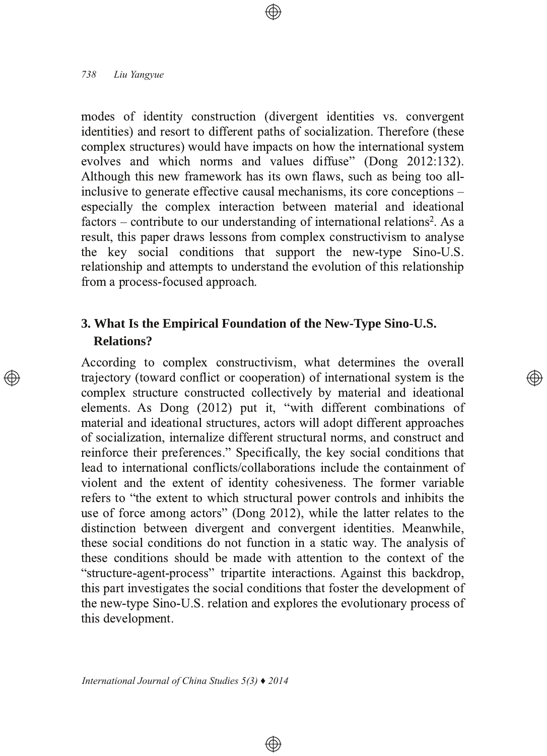modes of identity construction (divergent identities vs. convergent identities) and resort to different paths of socialization. Therefore (these  $complex$  structures) would have impacts on how the international system evolves and which norms and values diffuse" (Dong  $2012:132$ ). Although this new framework has its own flaws, such as being too allinclusive to generate effective causal mechanisms, its core conceptions – especially the complex interaction between material and ideational factors – contribute to our understanding of international relations<sup>2</sup>. As a result, this paper draws lessons from complex constructivism to analyse the key social conditions that support the new-type Sino-U.S. relationship and attempts to understand the evolution of this relationship from a process-focused approach.

## **3. What Is the Empirical Foundation of the NewType SinoU.S. Relations?**

According to complex constructivism, what determines the overall trajectory (toward conflict or cooperation) of international system is the complex structure constructed collectively by material and ideational elements. As Dong (2012) put it, "with different combinations of material and ideational structures, actors will adopt different approaches of socialization, internalize different structural norms, and construct and reinforce their preferences." Specifically, the key social conditions that lead to international conflicts/collaborations include the containment of violent and the extent of identity cohesiveness. The former variable refers to "the extent to which structural power controls and inhibits the use of force among actors" (Dong 2012), while the latter relates to the distinction between divergent and convergent identities. Meanwhile, these social conditions do not function in a static way. The analysis of these conditions should be made with attention to the context of the "structure-agent-process" tripartite interactions. Against this backdrop, this part investigates the social conditions that foster the development of the new-type Sino-U.S. relation and explores the evolutionary process of this development.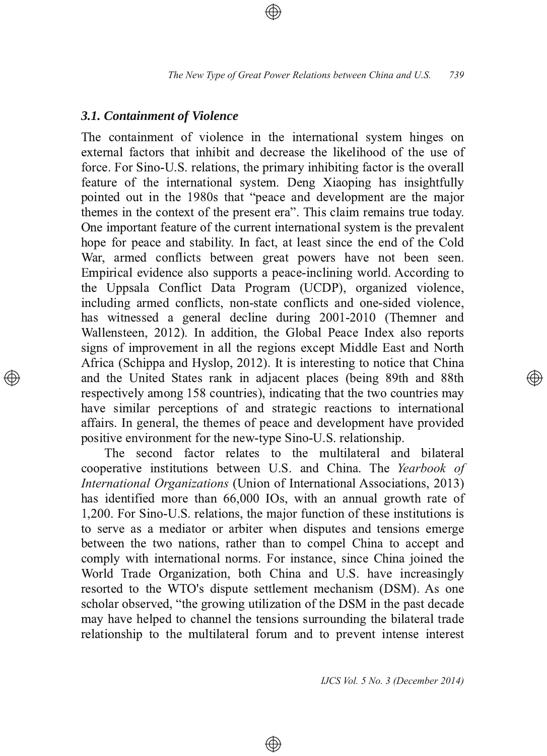## *3.1. Containment of Violence*

The containment of violence in the international system hinges on external factors that inhibit and decrease the likelihood of the use of force. For Sino-U.S. relations, the primary inhibiting factor is the overall feature of the international system. Deng Xiaoping has insightfully pointed out in the 1980s that "peace and development are the major themes in the context of the present era". This claim remains true today. One important feature of the current international system is the prevalent hope for peace and stability. In fact, at least since the end of the Cold War, armed conflicts between great powers have not been seen. Empirical evidence also supports a peace-inclining world. According to the Uppsala Conflict Data Program (UCDP), organized violence, including armed conflicts, non-state conflicts and one-sided violence, has witnessed a general decline during 2001-2010 (Themner and Wallensteen, 2012). In addition, the Global Peace Index also reports signs of improvement in all the regions except Middle East and North Africa (Schippa and Hyslop, 2012). It is interesting to notice that China and the United States rank in adjacent places (being 89th and 88th respectively among 158 countries), indicating that the two countries may have similar perceptions of and strategic reactions to international affairs. In general, the themes of peace and development have provided positive environment for the new-type Sino-U.S. relationship.

The second factor relates to the multilateral and bilateral  $1$ cooperative institutions between U.S. and China. The Yearbook of *International Organizations* (Union of International Associations, 2013) has identified more than 66,000 IOs, with an annual growth rate of 1,200. For Sino-U.S. relations, the major function of these institutions is to serve as a mediator or arbiter when disputes and tensions emerge between the two nations, rather than to compel China to accept and comply with international norms. For instance, since China joined the World Trade Organization, both China and U.S. have increasingly resorted to the WTO's dispute settlement mechanism (DSM). As one scholar observed, "the growing utilization of the DSM in the past decade" may have helped to channel the tensions surrounding the bilateral trade relationship to the multilateral forum and to prevent intense interest

 $\bigoplus$ 

*IJCS Vol. 5 No. 3 (December 2014)*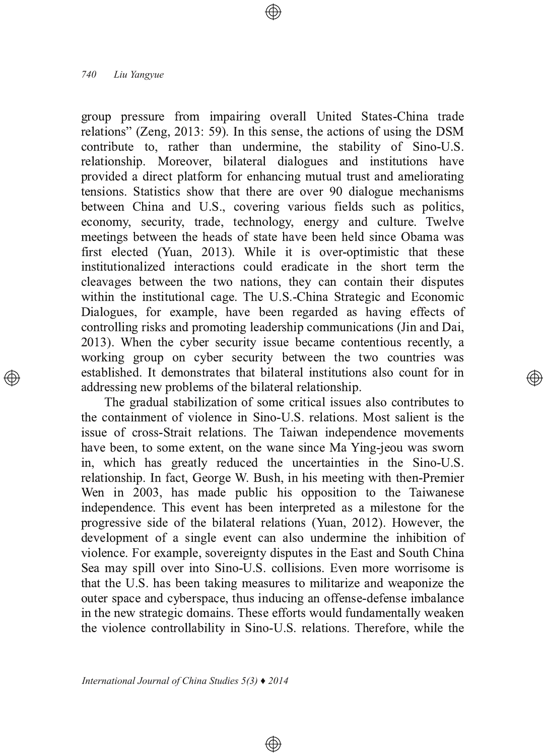group pressure from impairing overall United States-China trade relations" (Zeng, 2013: 59). In this sense, the actions of using the DSM contribute to, rather than undermine, the stability of Sino-U.S. relationship. Moreover, bilateral dialogues and institutions have provided a direct platform for enhancing mutual trust and ameliorating tensions. Statistics show that there are over 90 dialogue mechanisms between China and U.S., covering various fields such as politics, economy, security, trade, technology, energy and culture. Twelve meetings between the heads of state have been held since Obama was first elected (Yuan, 2013). While it is over-optimistic that these institutionalized interactions could eradicate in the short term the  $s$  cleavages between the two nations, they can contain their disputes within the institutional cage. The U.S.-China Strategic and Economic Dialogues, for example, have been regarded as having effects of controlling risks and promoting leadership communications (Jin and Dai, 2013). When the cyber security issue became contentious recently, a working group on cyber security between the two countries was established. It demonstrates that bilateral institutions also count for in addressing new problems of the bilateral relationship.

</u>

The gradual stabilization of some critical issues also contributes to the containment of violence in Sino-U.S. relations. Most salient is the issue of cross-Strait relations. The Taiwan independence movements have been, to some extent, on the wane since Ma Ying-jeou was sworn in, which has greatly reduced the uncertainties in the Sino-U.S. relationship. In fact, George W. Bush, in his meeting with then-Premier Wen in 2003, has made public his opposition to the Taiwanese independence. This event has been interpreted as a milestone for the progressive side of the bilateral relations (Yuan, 2012). However, the development of a single event can also undermine the inhibition of violence. For example, sovereignty disputes in the East and South China Sea may spill over into Sino-U.S. collisions. Even more worrisome is that the U.S. has been taking measures to militarize and weaponize the outer space and cyberspace, thus inducing an offense-defense imbalance in the new strategic domains. These efforts would fundamentally weaken the violence controllability in Sino-U.S. relations. Therefore, while the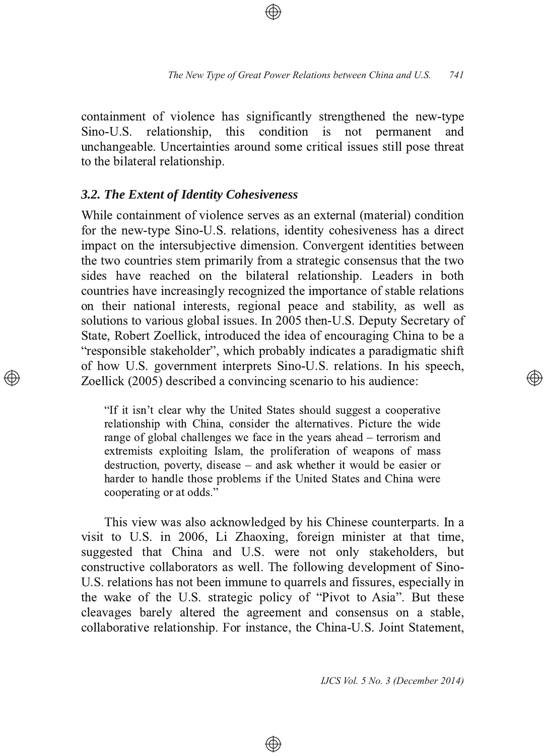containment of violence has significantly strengthened the new-type Sino-U.S. relationship, this condition is not permanent and unchangeable. Uncertainties around some critical issues still pose threat to the bilateral relationship.

## *3.2. The Extent of Identity Cohesiveness*

While containment of violence serves as an external (material) condition for the new-type Sino-U.S. relations, identity cohesiveness has a direct impact on the intersubjective dimension. Convergent identities between the two countries stem primarily from a strategic consensus that the two sides have reached on the bilateral relationship. Leaders in both solutries have increasingly recognized the importance of stable relations on their national interests, regional peace and stability, as well as solutions to various global issues. In 2005 then-U.S. Deputy Secretary of State, Robert Zoellick, introduced the idea of encouraging China to be a "responsible stakeholder", which probably indicates a paradigmatic shift of how U.S. government interprets Sino-U.S. relations. In his speech, Zoellick (2005) described a convincing scenario to his audience:

"If it isn't clear why the United States should suggest a cooperative relationship with China, consider the alternatives. Picture the wide range of global challenges we face in the years ahead – terrorism and extremists exploiting Islam, the proliferation of weapons of mass destruction, poverty, disease  $-$  and ask whether it would be easier or harder to handle those problems if the United States and China were cooperating or at odds."

This view was also acknowledged by his Chinese counterparts. In a visit to U.S. in 2006, Li Zhaoxing, foreign minister at that time, suggested that China and U.S. were not only stakeholders, but constructive collaborators as well. The following development of Sino-U.S. relations has not been immune to quarrels and fissures, especially in the wake of the U.S. strategic policy of "Pivot to Asia". But these cleavages barely altered the agreement and consensus on a stable, collaborative relationship. For instance, the China-U.S. Joint Statement,

⊕

*IJCS Vol. 5 No. 3 (December 2014)*

(A))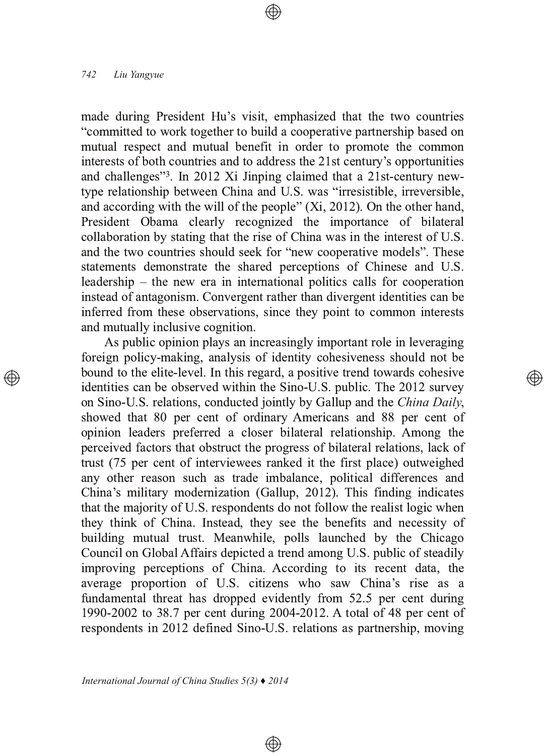made during President Hu's visit, emphasized that the two countries "committed to work together to build a cooperative partnership based on mutual respect and mutual benefit in order to promote the common interests of both countries and to address the 21st century's opportunities and challenges"<sup>3</sup>. In 2012 Xi Jinping claimed that a 21st-century newtype relationship between China and U.S. was "irresistible, irreversible, and according with the will of the people"  $(X_i, 2012)$ . On the other hand, President Obama clearly recognized the importance of bilateral collaboration by stating that the rise of China was in the interest of U.S. and the two countries should seek for "new cooperative models". These statements demonstrate the shared perceptions of Chinese and U.S.  $1$ eadership – the new era in international politics calls for cooperation instead of antagonism. Convergent rather than divergent identities can be inferred from these observations, since they point to common interests and mutually inclusive cognition.

As public opinion plays an increasingly important role in leveraging foreign policy-making, analysis of identity cohesiveness should not be bound to the elite-level. In this regard, a positive trend towards cohesive identities can be observed within the Sino-U.S. public. The 2012 survey on Sino-U.S. relations, conducted jointly by Gallup and the *China Daily*, showed that 80 per cent of ordinary Americans and 88 per cent of opinion leaders preferred a closer bilateral relationship. Among the perceived factors that obstruct the progress of bilateral relations, lack of trust (75 per cent of interviewees ranked it the first place) outweighed any other reason such as trade imbalance, political differences and China's military modernization (Gallup, 2012). This finding indicates that the majority of U.S. respondents do not follow the realist logic when they think of China. Instead, they see the benefits and necessity of building mutual trust. Meanwhile, polls launched by the Chicago Council on Global Affairs depicted a trend among U.S. public of steadily improving perceptions of China. According to its recent data, the average proportion of U.S. citizens who saw China's rise as a fundamental threat has dropped evidently from 52.5 per cent during 1990-2002 to 38.7 per cent during 2004-2012. A total of 48 per cent of respondents in 2012 defined Sino-U.S. relations as partnership, moving

 $\circledcirc$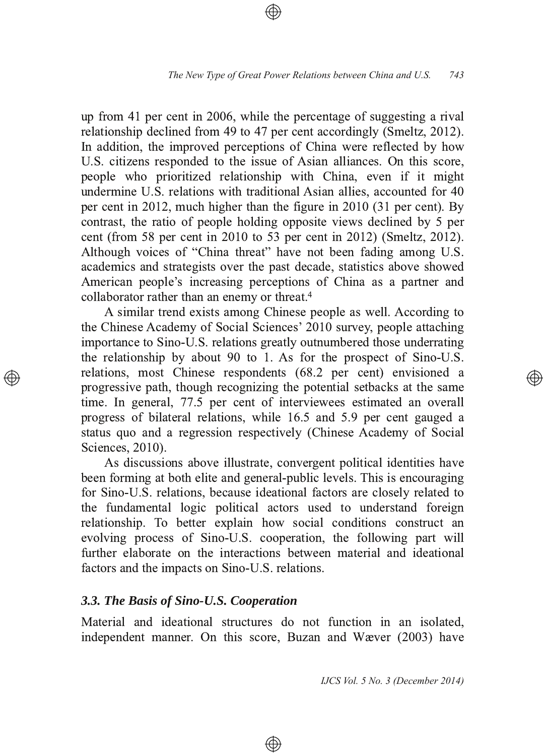up from 41 per cent in 2006, while the percentage of suggesting a rival relationship declined from 49 to 47 per cent accordingly (Smeltz, 2012). In addition, the improved perceptions of China were reflected by how U.S. citizens responded to the issue of Asian alliances. On this score, people who prioritized relationship with China, even if it might undermine U.S. relations with traditional Asian allies, accounted for 40 per cent in 2012, much higher than the figure in  $2010$  (31 per cent). By contrast, the ratio of people holding opposite views declined by 5 per cent (from 58 per cent in 2010 to 53 per cent in 2012) (Smeltz, 2012). Although voices of "China threat" have not been fading among U.S. academics and strategists over the past decade, statistics above showed American people's increasing perceptions of China as a partner and collaborator rather than an enemy or threat.<sup>4</sup>

A similar trend exists among Chinese people as well. According to the Chinese Academy of Social Sciences' 2010 survey, people attaching importance to Sino-U.S. relations greatly outnumbered those underrating the relationship by about 90 to 1. As for the prospect of Sino-U.S. relations, most Chinese respondents (68.2 per cent) envisioned a progressive path, though recognizing the potential setbacks at the same time. In general, 77.5 per cent of interviewees estimated an overall progress of bilateral relations, while 16.5 and 5.9 per cent gauged a status quo and a regression respectively (Chinese Academy of Social Sciences, 2010).

As discussions above illustrate, convergent political identities have been forming at both elite and general-public levels. This is encouraging for Sino-U.S. relations, because ideational factors are closely related to the fundamental logic political actors used to understand foreign relationship. To better explain how social conditions construct an evolving process of Sino-U.S. cooperation, the following part will further elaborate on the interactions between material and ideational factors and the impacts on Sino-U.S. relations.

## **3.3. The Basis of Sino-U.S. Cooperation**

Material and ideational structures do not function in an isolated, independent manner. On this score, Buzan and Wæver (2003) have

⊕

*IJCS Vol. 5 No. 3 (December 2014)*

্⊕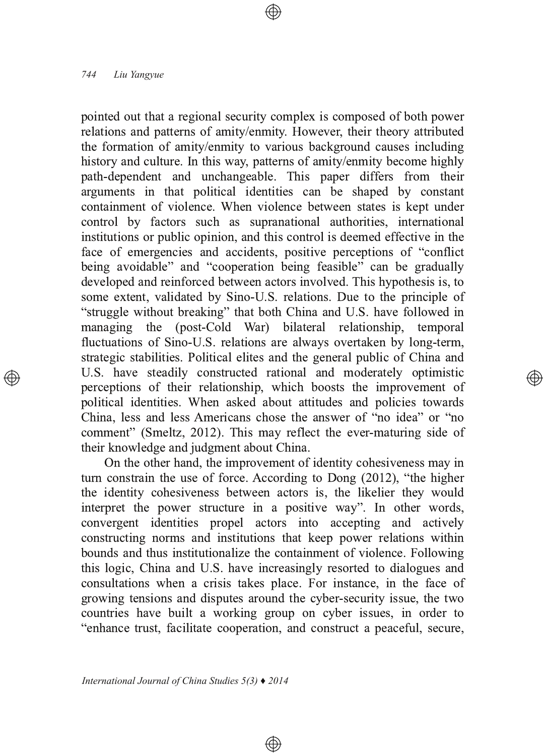pointed out that a regional security complex is composed of both power relations and patterns of amity/enmity. However, their theory attributed the formation of amity/enmity to various background causes including history and culture. In this way, patterns of amity/enmity become highly path-dependent and unchangeable. This paper differs from their arguments in that political identities can be shaped by constant containment of violence. When violence between states is kept under control by factors such as supranational authorities, international institutions or public opinion, and this control is deemed effective in the face of emergencies and accidents, positive perceptions of "conflict" being avoidable" and "cooperation being feasible" can be gradually developed and reinforced between actors involved. This hypothesis is, to some extent, validated by Sino-U.S. relations. Due to the principle of "struggle without breaking" that both China and U.S. have followed in<br>managing the (post-Cold War) bilateral relationship, temporal managing the (post-Cold War) bilateral relationship, temporal fluctuations of Sino-U.S. relations are always overtaken by long-term, strategic stabilities. Political elites and the general public of China and U.S. have steadily constructed rational and moderately optimistic perceptions of their relationship, which boosts the improvement of political identities. When asked about attitudes and policies towards China, less and less Americans chose the answer of "no idea" or "no comment" (Smeltz, 2012). This may reflect the ever-maturing side of their knowledge and judgment about China.

্⊕

On the other hand, the improvement of identity cohesiveness may in turn constrain the use of force. According to Dong  $(2012)$ , "the higher the identity cohesiveness between actors is, the likelier they would interpret the power structure in a positive way". In other words,  $\mu$ <sub>2</sub> convergent identities propel actors into accepting and actively constructing norms and institutions that keep power relations within bounds and thus institutionalize the containment of violence. Following this logic, China and U.S. have increasingly resorted to dialogues and consultations when a crisis takes place. For instance, in the face of growing tensions and disputes around the cyber-security issue, the two countries have built a working group on cyber issues, in order to "enhance trust, facilitate cooperation, and construct a peaceful, secure,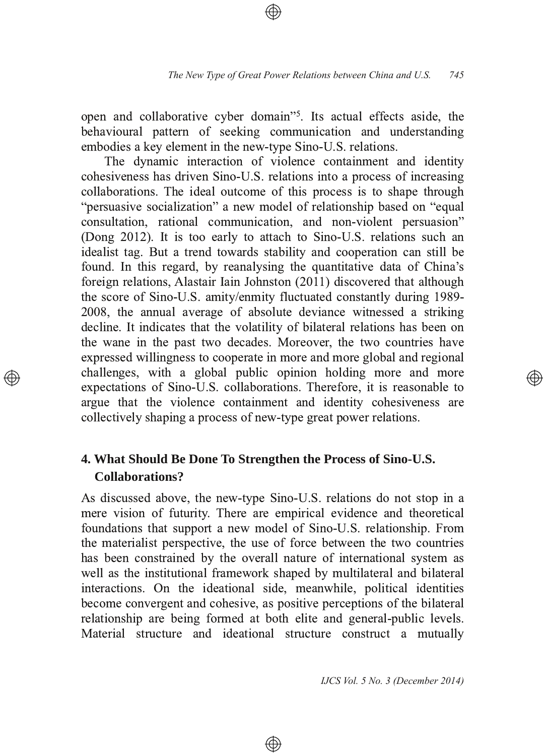open and collaborative cyber domain"<sup>5</sup>. Its actual effects aside, the behavioural pattern of seeking communication and understanding embodies a key element in the new-type Sino-U.S. relations.

The dynamic interaction of violence containment and identity cohesiveness has driven Sino-U.S. relations into a process of increasing collaborations. The ideal outcome of this process is to shape through "persuasive socialization" a new model of relationship based on "equal consultation, rational communication, and non-violent persuasion" (Dong 2012). It is too early to attach to Sino-U.S. relations such an idealist tag. But a trend towards stability and cooperation can still be found. In this regard, by reanalysing the quantitative data of China's foreign relations, Alastair Iain Johnston (2011) discovered that although the score of Sino-U.S. amity/enmity fluctuated constantly during 1989-2008, the annual average of absolute deviance witnessed a striking decline. It indicates that the volatility of bilateral relations has been on the wane in the past two decades. Moreover, the two countries have expressed willingness to cooperate in more and more global and regional challenges, with a global public opinion holding more and more expectations of Sino-U.S. collaborations. Therefore, it is reasonable to argue that the violence containment and identity cohesiveness are  $\alpha$  collectively shaping a process of new-type great power relations.

## **4. What Should Be Done To Strengthen the Process of SinoU.S. Collaborations?**

As discussed above, the new-type Sino-U.S. relations do not stop in a mere vision of futurity. There are empirical evidence and theoretical foundations that support a new model of Sino-U.S. relationship. From the materialist perspective, the use of force between the two countries has been constrained by the overall nature of international system as well as the institutional framework shaped by multilateral and bilateral interactions. On the ideational side, meanwhile, political identities become convergent and cohesive, as positive perceptions of the bilateral relationship are being formed at both elite and general-public levels. Material structure and ideational structure construct a mutually

⊕

*IJCS Vol. 5 No. 3 (December 2014)*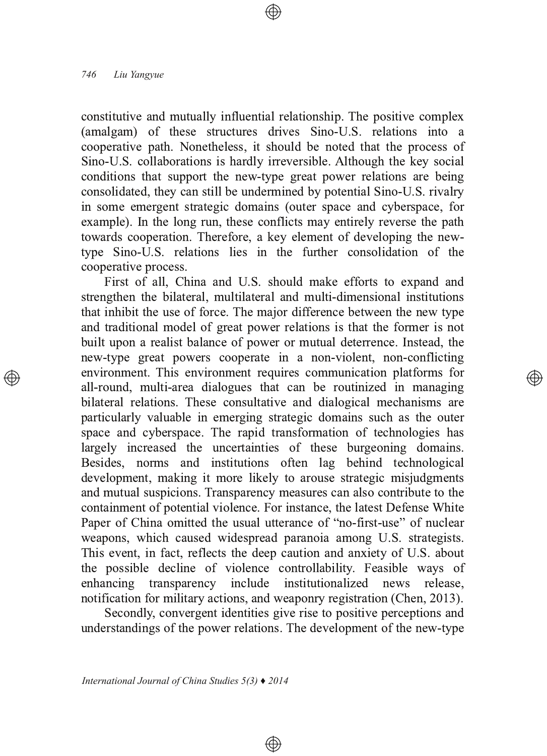constitutive and mutually influential relationship. The positive complex (amalgam) of these structures drives Sino-U.S. relations into a cooperative path. Nonetheless, it should be noted that the process of Sino-U.S. collaborations is hardly irreversible. Although the key social conditions that support the new-type great power relations are being consolidated, they can still be undermined by potential Sino-U.S. rivalry in some emergent strategic domains (outer space and cyberspace, for example). In the long run, these conflicts may entirely reverse the path towards cooperation. Therefore, a key element of developing the newtype Sino-U.S. relations lies in the further consolidation of the cooperative process.

First of all, China and U.S. should make efforts to expand and strengthen the bilateral, multilateral and multi-dimensional institutions that inhibit the use of force. The major difference between the new type and traditional model of great power relations is that the former is not built upon a realist balance of power or mutual deterrence. Instead, the new-type great powers cooperate in a non-violent, non-conflicting environment. This environment requires communication platforms for all-round, multi-area dialogues that can be routinized in managing bilateral relations. These consultative and dialogical mechanisms are particularly valuable in emerging strategic domains such as the outer space and cyberspace. The rapid transformation of technologies has largely increased the uncertainties of these burgeoning domains. Besides, norms and institutions often lag behind technological development, making it more likely to arouse strategic misjudgments and mutual suspicions. Transparency measures can also contribute to the containment of potential violence. For instance, the latest Defense White Paper of China omitted the usual utterance of "no-first-use" of nuclear weapons, which caused widespread paranoia among U.S. strategists. This event, in fact, reflects the deep caution and anxiety of U.S. about the possible decline of violence controllability. Feasible ways of enhancing transparency include institutionalized news release, notification for military actions, and weaponry registration (Chen, 2013).

Secondly, convergent identities give rise to positive perceptions and understandings of the power relations. The development of the new-type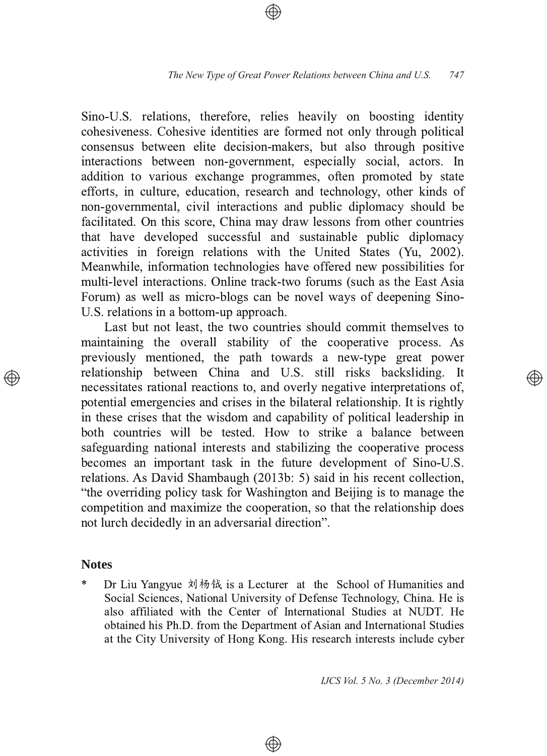Sino-U.S. relations, therefore, relies heavily on boosting identity cohesiveness. Cohesive identities are formed not only through political consensus between elite decision-makers, but also through positive interactions between non-government, especially social, actors. In addition to various exchange programmes, often promoted by state efforts, in culture, education, research and technology, other kinds of non-governmental, civil interactions and public diplomacy should be facilitated. On this score, China may draw lessons from other countries that have developed successful and sustainable public diplomacy activities in foreign relations with the United States (Yu, 2002). Meanwhile, information technologies have offered new possibilities for multi-level interactions. Online track-two forums (such as the East Asia Forum) as well as micro-blogs can be novel ways of deepening Sino-U.S. relations in a bottom-up approach.

Last but not least, the two countries should commit themselves to maintaining the overall stability of the cooperative process. As previously mentioned, the path towards a new-type great power relationship between China and U.S. still risks backsliding. It necessitates rational reactions to, and overly negative interpretations of, potential emergencies and crises in the bilateral relationship. It is rightly in these crises that the wisdom and capability of political leadership in both countries will be tested. How to strike a balance between safeguarding national interests and stabilizing the cooperative process becomes an important task in the future development of Sino-U.S. relations. As David Shambaugh (2013b: 5) said in his recent collection, "the overriding policy task for Washington and Beijing is to manage the competition and maximize the cooperation, so that the relationship does not lurch decidedly in an adversarial direction".

## **Notes**

\* Dr Liu Yangyue 刘杨钺 is a Lecturer at the School of Humanities and Social Sciences, National University of Defense Technology, China. He is also affiliated with the Center of International Studies at NUDT. He obtained his Ph.D. from the Department of Asian and International Studies at the City University of Hong Kong. His research interests include cyber

⊕

*IJCS Vol. 5 No. 3 (December 2014)*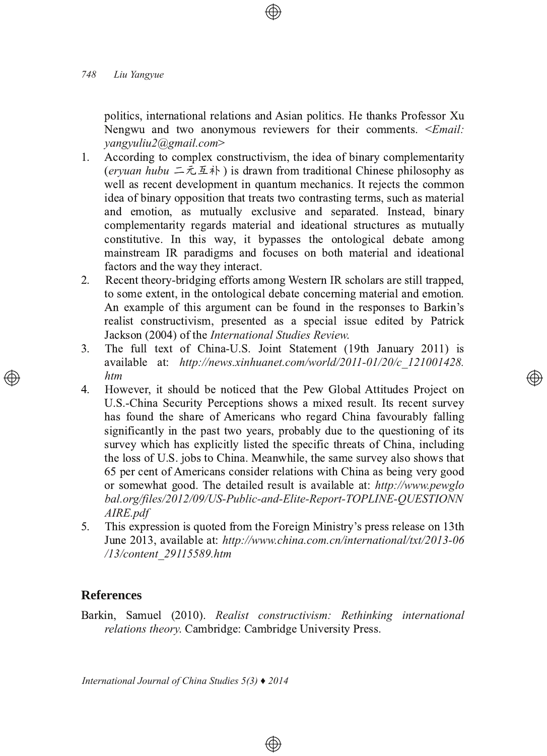politics, international relations and Asian politics. He thanks Professor Xu Nengwu and two anonymous reviewers for their comments. <*Email: yangyuliu2@gmail.com*

- $1<sup>1</sup>$ According to complex constructivism, the idea of binary complementarity (eryuan hubu 二元互补) is drawn from traditional Chinese philosophy as well as recent development in quantum mechanics. It rejects the common idea of binary opposition that treats two contrasting terms, such as material and emotion, as mutually exclusive and separated. Instead, binary complementarity regards material and ideational structures as mutually constitutive. In this way, it bypasses the ontological debate among mainstream IR paradigms and focuses on both material and ideational factors and the way they interact.
- 2. Recent theory-bridging efforts among Western IR scholars are still trapped, to some extent, in the ontological debate concerning material and emotion. An example of this argument can be found in the responses to Barkin's realist constructivism, presented as a special issue edited by Patrick Jackson (2004) of the *International Studies Review*.
- 3. The full text of China-U.S. Joint Statement (19th January 2011) is available at: http://news.xinhuanet.com/world/2011-01/20/c 121001428. *htm*

Ð)

- 4. However, it should be noticed that the Pew Global Attitudes Project on U.S.-China Security Perceptions shows a mixed result. Its recent survey has found the share of Americans who regard China favourably falling significantly in the past two years, probably due to the questioning of its survey which has explicitly listed the specific threats of China, including the loss of U.S. jobs to China. Meanwhile, the same survey also shows that 65 per cent of Americans consider relations with China as being very good or somewhat good. The detailed result is available at: http://www.pewglo bal.org/files/2012/09/US-Public-and-Elite-Report-TOPLINE-QUESTIONN *AIRE.pdf*
- 5. This expression is quoted from the Foreign Ministry's press release on 13th June 2013, available at: http://www.china.com.cn/international/txt/2013-06 */13/content\_29115589.htm*

## **References**

Barkin, Samuel (2010). Realist constructivism: Rethinking international *relations theory.* Cambridge: Cambridge University Press.

⊕

*International Journal of China Studies 5(3) ♦ 2014*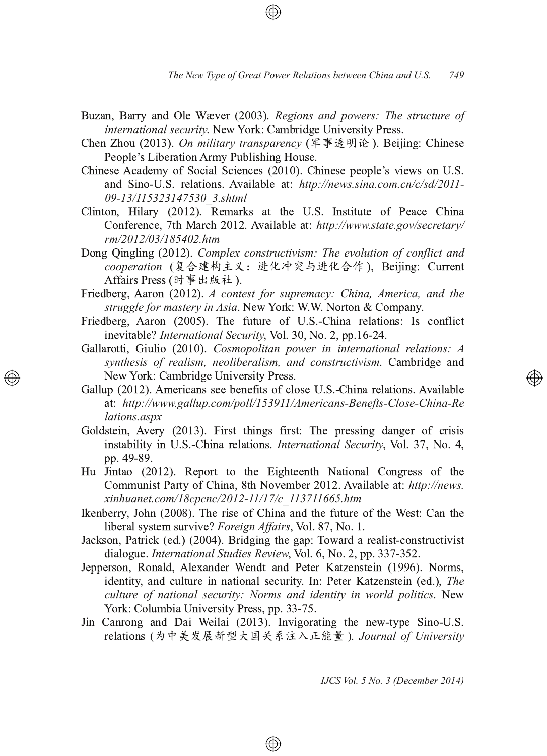- Buzan, Barry and Ole Wæver (2003). Regions and powers: The structure of *international security.* New York: Cambridge University Press.
- Chen Zhou (2013). *On military transparency* (军事透明论). Beijing: Chinese People's Liberation Army Publishing House.
- Chinese Academy of Social Sciences (2010). Chinese people's views on U.S. and Sino-U.S. relations. Available at: http://news.sina.com.cn/c/sd/2011-*0913/115323147530\_3.shtml*
- Clinton, Hilary (2012). Remarks at the U.S. Institute of Peace China Conference, 7th March 2012. Available at: http://www.state.gov/secretary/ *rm/2012/03/185402.htm*
- Dong Qingling (2012). *Complex constructivism: The evolution of conflict and cooperation* (复合建构主义:进化冲突与进化合作 ), Beijing: Current Affairs Press (时事出版社 ).
- Friedberg, Aaron (2012). A contest for supremacy: China, America, and the *struggle for mastery in Asia*. New York: W.W. Norton & Company.
- Friedberg, Aaron (2005). The future of U.S.-China relations: Is conflict inevitable? International Security, Vol. 30, No. 2, pp.16-24.
- Gallarotti, Giulio (2010). Cosmopolitan power in international relations: A *synthesis of realism, neoliberalism, and constructivism.* Cambridge and New York: Cambridge University Press.
- Gallup (2012). Americans see benefits of close U.S.-China relations. Available at: http://www.gallup.com/poll/153911/Americans-Benefts-Close-China-Re *lations.aspx*
- Goldstein, Avery (2013). First things first: The pressing danger of crisis instability in U.S.-China relations. *International Security*, Vol. 37, No. 4, pp. 49-89.
- Hu Jintao (2012). Report to the Eighteenth National Congress of the Communist Party of China, 8th November 2012. Available at: http://news. *xinhuanet.com/18cpcnc/201211/17/c\_113711665.htm*
- Ikenberry, John (2008). The rise of China and the future of the West: Can the liberal system survive? *Foreign Affairs*, Vol. 87, No. 1. .
- Jackson, Patrick (ed.) (2004). Bridging the gap: Toward a realist-constructivist dialogue. *International Studies Review*, Vol. 6, No. 2, pp. 337-352.
- Jepperson, Ronald, Alexander Wendt and Peter Katzenstein (1996). Norms, identity, and culture in national security. In: Peter Katzenstein (ed.), The *culture* of *national security: Norms and identity in world politics. New* York: Columbia University Press, pp. 33-75.
- Jin Canrong and Dai Weilai (2013). Invigorating the new-type Sino-U.S. relations (为中美发展新型大国关系注入正能量 ). *Journal of University*

 $\circledcirc$ 

*IJCS Vol. 5 No. 3 (December 2014)*

</u>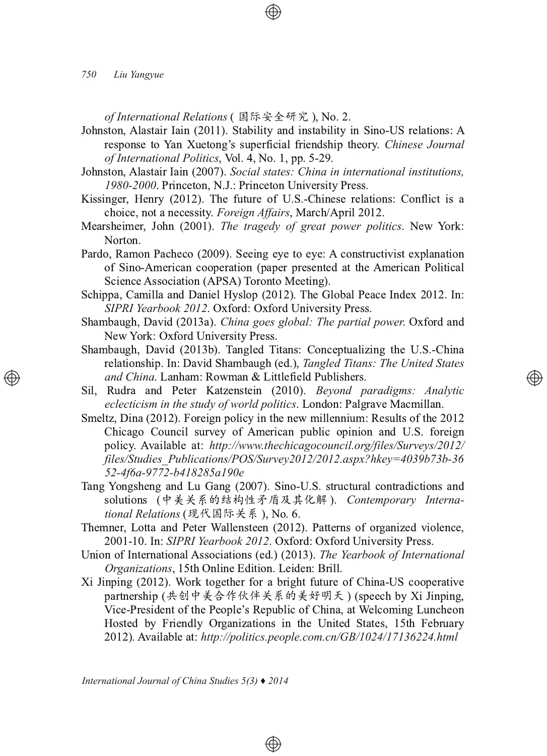*of International Relations* ( 国际安全研究 ), No. 2.

Johnston, Alastair Iain (2011). Stability and instability in Sino-US relations: A response to Yan Xuetong's superficial friendship theory. Chinese Journal of International Politics, Vol. 4, No. 1, pp. 5-29.

- $Johnston, Alastair Iain (2007)$ . *Social states: China in international institutions,* 1980-2000. Princeton, N.J.: Princeton University Press.
- Kissinger, Henry (2012). The future of U.S.-Chinese relations: Conflict is a choice, not a necessity. Foreign Affairs, March/April 2012.
- Mearsheimer, John (2001). The tragedy of great power politics. New York: Norton.
- Pardo, Ramon Pacheco (2009). Seeing eye to eye: A constructivist explanation of Sino-American cooperation (paper presented at the American Political Science Association (APSA) Toronto Meeting).
- Schippa, Camilla and Daniel Hyslop (2012). The Global Peace Index 2012. In: *SIPRI Yearbook 2012*. Oxford: Oxford University Press.
- Shambaugh, David (2013a). China goes global: The partial power. Oxford and New York: Oxford University Press.
- Shambaugh, David (2013b). Tangled Titans: Conceptualizing the U.S.-China relationship. In: David Shambaugh (ed.), *Tangled Titans: The United States and China*. Lanham: Rowman & Littlefield Publishers.

</u>

- Sil, Rudra and Peter Katzenstein (2010). Beyond paradigms: Analytic *eclecticism in the study of world politics.* London: Palgrave Macmillan.
- Smeltz, Dina (2012). Foreign policy in the new millennium: Results of the 2012 Chicago Council survey of American public opinion and U.S. foreign policy. Available at: http://www.thechicagocouncil.org/files/Surveys/2012/ *files/Studies\_Publications/POS/Survey2012/2012.aspx?hkey=4039b73b36 524f6a9772b418285a190e*
- Tang Yongsheng and Lu Gang (2007). Sino-U.S. structural contradictions and solutions (中美关系的结构性矛盾及其化解). Contemporary Interna*tional Relations* (现代国际关系 ), No. 6.
- Themner, Lotta and Peter Wallensteen (2012). Patterns of organized violence, 2001-10. In: SIPRI Yearbook 2012. Oxford: Oxford University Press.
- Union of International Associations (ed.) (2013). The Yearbook of International Organizations, 15th Online Edition. Leiden: Brill.
- Xi Jinping (2012). Work together for a bright future of China-US cooperative partnership (共创中美合作伙伴关系的美好明天 ) (speech by Xi Jinping, Vice-President of the People's Republic of China, at Welcoming Luncheon Hosted by Friendly Organizations in the United States, 15th February 2012). Available at: http://politics.people.com.cn/GB/1024/17136224.html

 $\circledcirc$ 

*International Journal of China Studies 5(3) ♦ 2014*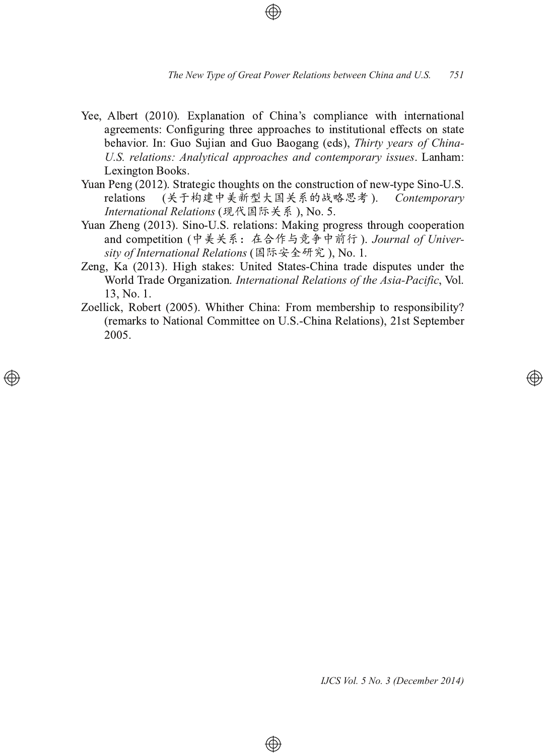- Yee, Albert (2010). Explanation of China's compliance with international agreements: Configuring three approaches to institutional effects on state behavior. In: Guo Sujian and Guo Baogang (eds), Thirty years of China-*U.S. relations: Analytical approaches and contemporary issues. Lanham:* Lexington Books.
- Yuan Peng (2012). Strategic thoughts on the construction of new-type Sino-U.S. relations *Contemporary* International Relations (现代国际关系), No. 5.
- Yuan Zheng (2013). Sino-U.S. relations: Making progress through cooperation and competition (中美关系:在合作与竞争中前行 ). *Journal of Univer* $s$ *ity of International Relations* (国际安全研究 ), No. 1 1
- Zeng, Ka (2013). High stakes: United States-China trade disputes under the World Trade Organization. *International Relations of the Asia-Pacific*, Vol. 13, No. 1 .
- Zoellick, Robert (2005). Whither China: From membership to responsibility? (remarks to National Committee on U.S.-China Relations), 21st September 2005.

⊕

*IJCS Vol. 5 No. 3 (December 2014)*